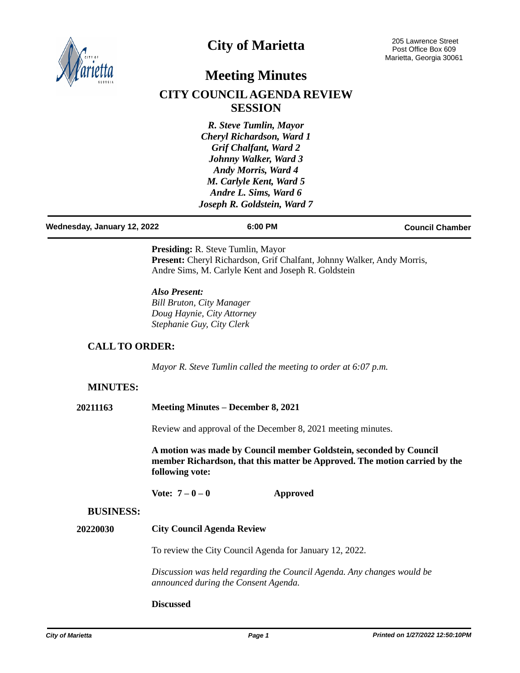

# **City of Marietta**

## **Meeting Minutes**

# **CITY COUNCIL AGENDA REVIEW SESSION**

*R. Steve Tumlin, Mayor Cheryl Richardson, Ward 1 Grif Chalfant, Ward 2 Johnny Walker, Ward 3 Andy Morris, Ward 4 M. Carlyle Kent, Ward 5 Andre L. Sims, Ward 6 Joseph R. Goldstein, Ward 7*

| Wednesday, January 12, 2022 | 6:00 PM | <b>Council Chamber</b> |
|-----------------------------|---------|------------------------|
|                             |         |                        |

**Presiding:** R. Steve Tumlin, Mayor Present: Cheryl Richardson, Grif Chalfant, Johnny Walker, Andy Morris, Andre Sims, M. Carlyle Kent and Joseph R. Goldstein

*Also Present: Bill Bruton, City Manager Doug Haynie, City Attorney Stephanie Guy, City Clerk*

## **CALL TO ORDER:**

*Mayor R. Steve Tumlin called the meeting to order at 6:07 p.m.*

## **MINUTES:**

Review and approval of the December 8, 2021 meeting minutes.

**A motion was made by Council member Goldstein, seconded by Council member Richardson, that this matter be Approved. The motion carried by the following vote:**

**Vote: 7 – 0 – 0 Approved**

#### **BUSINESS:**

**City Council Agenda Review 20220030**

To review the City Council Agenda for January 12, 2022.

*Discussion was held regarding the Council Agenda. Any changes would be announced during the Consent Agenda.*

#### **Discussed**